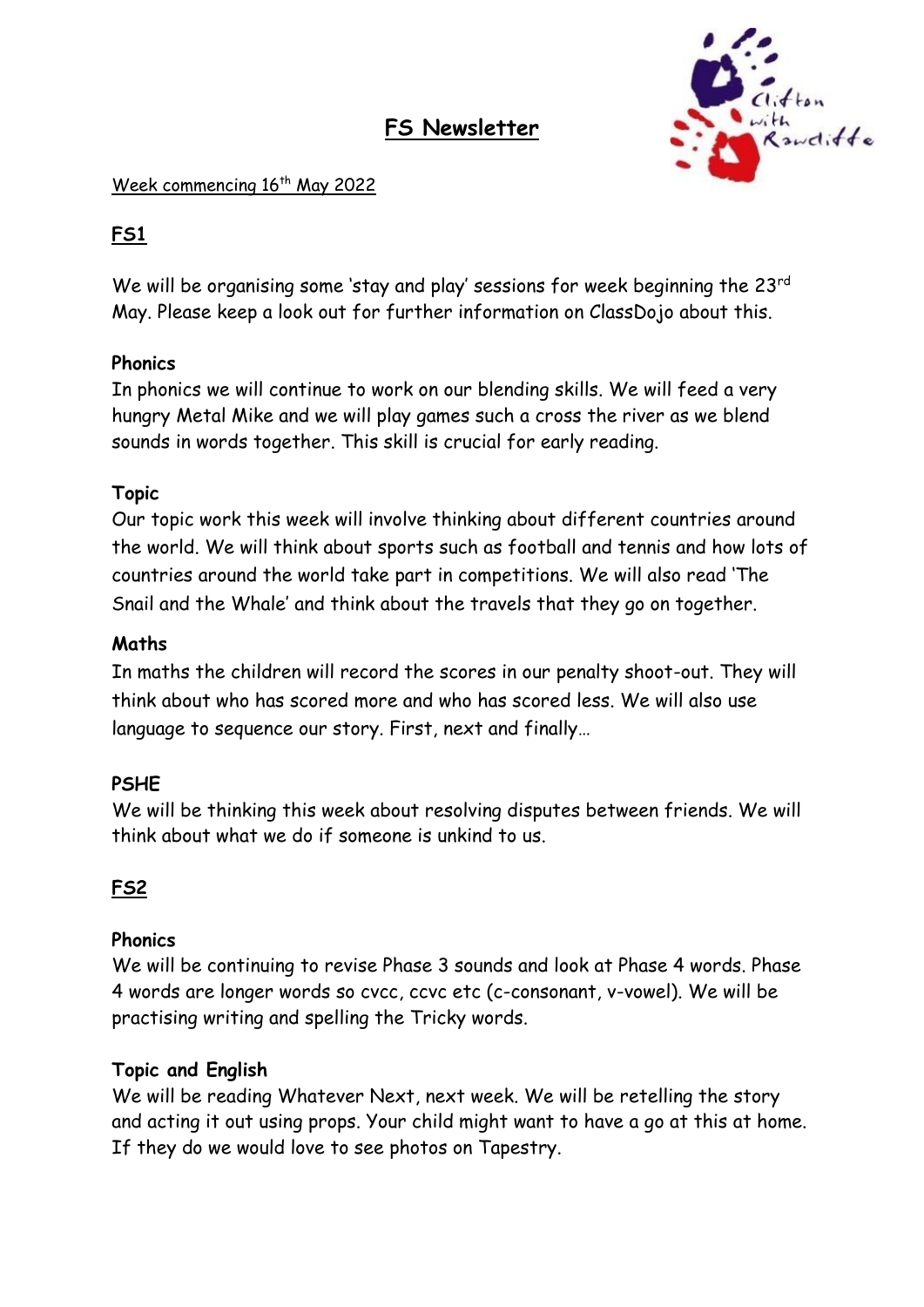# **FS Newsletter**



#### Week commencing 16<sup>th</sup> May 2022

# **FS1**

We will be organising some 'stay and play' sessions for week beginning the 23<sup>rd</sup> May. Please keep a look out for further information on ClassDojo about this.

# **Phonics**

In phonics we will continue to work on our blending skills. We will feed a very hungry Metal Mike and we will play games such a cross the river as we blend sounds in words together. This skill is crucial for early reading.

### **Topic**

Our topic work this week will involve thinking about different countries around the world. We will think about sports such as football and tennis and how lots of countries around the world take part in competitions. We will also read 'The Snail and the Whale' and think about the travels that they go on together.

### **Maths**

In maths the children will record the scores in our penalty shoot-out. They will think about who has scored more and who has scored less. We will also use language to sequence our story. First, next and finally…

# **PSHE**

We will be thinking this week about resolving disputes between friends. We will think about what we do if someone is unkind to us.

# **FS2**

#### **Phonics**

We will be continuing to revise Phase 3 sounds and look at Phase 4 words. Phase 4 words are longer words so cvcc, ccvc etc (c-consonant, v-vowel). We will be practising writing and spelling the Tricky words.

# **Topic and English**

We will be reading Whatever Next, next week. We will be retelling the story and acting it out using props. Your child might want to have a go at this at home. If they do we would love to see photos on Tapestry.